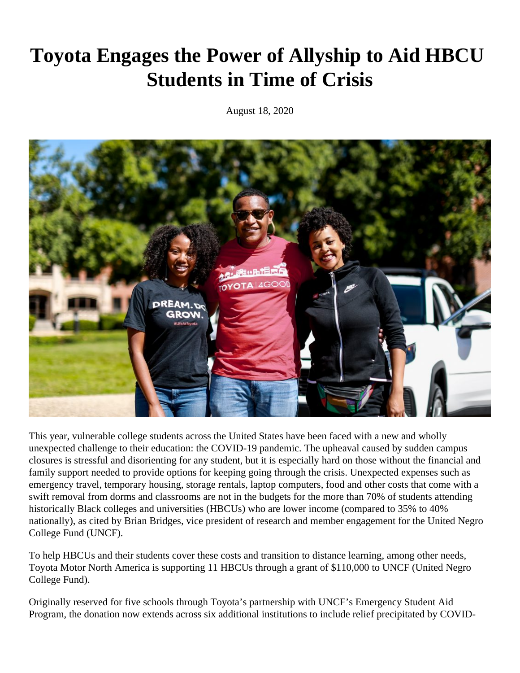## **Toyota Engages the Power of Allyship to Aid HBCU Students in Time of Crisis**

August 18, 2020



This year, vulnerable college students across the United States have been faced with a new and wholly unexpected challenge to their education: the COVID-19 pandemic. The upheaval caused by sudden campus closures is stressful and disorienting for any student, but it is especially hard on those without the financial and family support needed to provide options for keeping going through the crisis. Unexpected expenses such as emergency travel, temporary housing, storage rentals, laptop computers, food and other costs that come with a swift removal from dorms and classrooms are not in the budgets for the more than 70% of students attending historically Black colleges and universities (HBCUs) who are lower income (compared to 35% to 40% nationally), as cited by Brian Bridges, vice president of research and member engagement for the United Negro College Fund (UNCF).

To help HBCUs and their students cover these costs and transition to distance learning, among other needs, Toyota Motor North America is supporting 11 HBCUs through a grant of \$110,000 to UNCF (United Negro College Fund).

Originally reserved for five schools through Toyota's partnership with UNCF's Emergency Student Aid Program, the donation now extends across six additional institutions to include relief precipitated by COVID-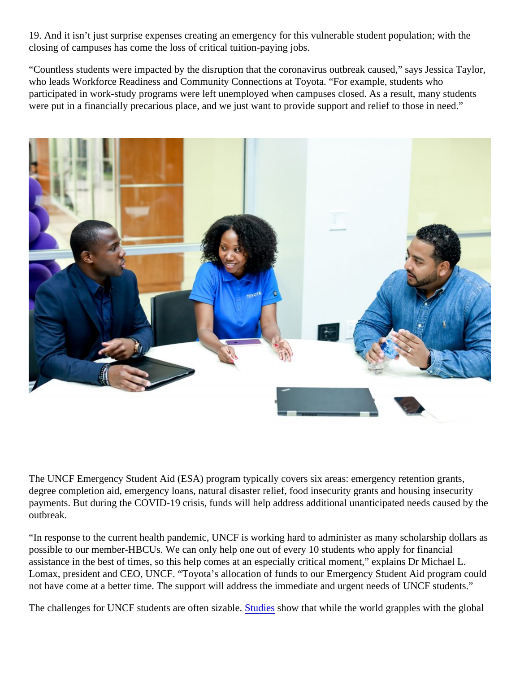19. And it isn't just surprise expenses creating an emergency for this vulnerable student population; with the closing of campuses has come the loss of critical tuition-paying jobs.

"Countless students were impacted by the disruption that the coronavirus outbreak caused," says Jessica Tay who leads Workforce Readiness and Community Connections at Toyota. "For example, students who participated in work-study programs were left unemployed when campuses closed. As a result, many student were put in a financially precarious place, and we just want to provide support and relief to those in need."

The UNCF Emergency Student Aid (ESA) program typically covers six areas: emergency retention grants, degree completion aid, emergency loans, natural disaster relief, food insecurity grants and housing insecurity payments. But during the COVID-19 crisis, funds will help address additional unanticipated needs caused by outbreak.

"In response to the current health pandemic, UNCF is working hard to administer as many scholarship dollars possible to our member-HBCUs. We can only help one out of every 10 students who apply for financial assistance in the best of times, so this help comes at an especially critical moment," explains Dr Michael L. Lomax, president and CEO, UNCF. "Toyota's allocation of funds to our Emergency Student Aid program coul not have come at a better time. The support will address the immediate and urgent needs of UNCF students."

The challenges for UNCF students are often sizable dies bow that while the world grapples with the global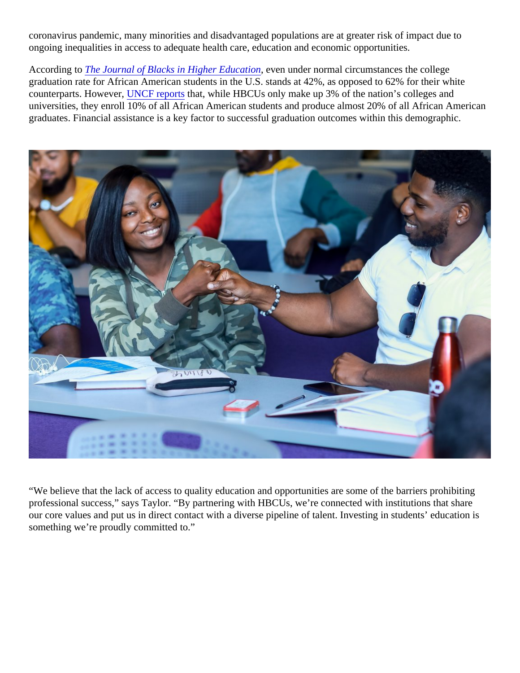coronavirus pandemic, many minorities and disadvantaged populations are at greater risk of impact due to ongoing inequalities in access to adequate health care, education and economic opportunities.

According t[o The Journal of Blacks in Higher Educat](http://www.jbhe.com/features/50_blackstudent_gradrates.html)icaven under normal circumstances the college graduation rate for African American students in the U.S. stands at 42%, as opposed to 62% for their white counterparts. However NCF reports that, while HBCUs only make up 3% of the nation's colleges and universities, they enroll 10% of all African American students and produce almost 20% of all African American graduates. Financial assistance is a key factor to successful graduation outcomes within this demographic.

"We believe that the lack of access to quality education and opportunities are some of the barriers prohibiting professional success," says Taylor. "By partnering with HBCUs, we're connected with institutions that share our core values and put us in direct contact with a diverse pipeline of talent. Investing in students' education is something we're proudly committed to."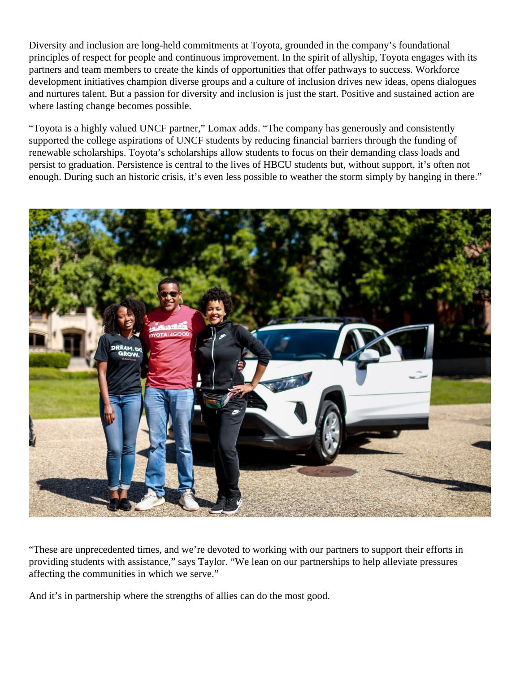Diversity and inclusion are long-held commitments at Toyota, grounded in the company's foundational principles of respect for people and continuous improvement. In the spirit of allyship, Toyota engages with its partners and team members to create the kinds of opportunities that offer pathways to success. Workforce development initiatives champion diverse groups and a culture of inclusion drives new ideas, opens dialogues and nurtures talent. But a passion for diversity and inclusion is just the start. Positive and sustained action are where lasting change becomes possible.

"Toyota is a highly valued UNCF partner," Lomax adds. "The company has generously and consistently supported the college aspirations of UNCF students by reducing financial barriers through the funding of renewable scholarships. Toyota's scholarships allow students to focus on their demanding class loads and persist to graduation. Persistence is central to the lives of HBCU students but, without support, it's often not enough. During such an historic crisis, it's even less possible to weather the storm simply by hanging in there."



"These are unprecedented times, and we're devoted to working with our partners to support their efforts in providing students with assistance," says Taylor. "We lean on our partnerships to help alleviate pressures affecting the communities in which we serve."

And it's in partnership where the strengths of allies can do the most good.